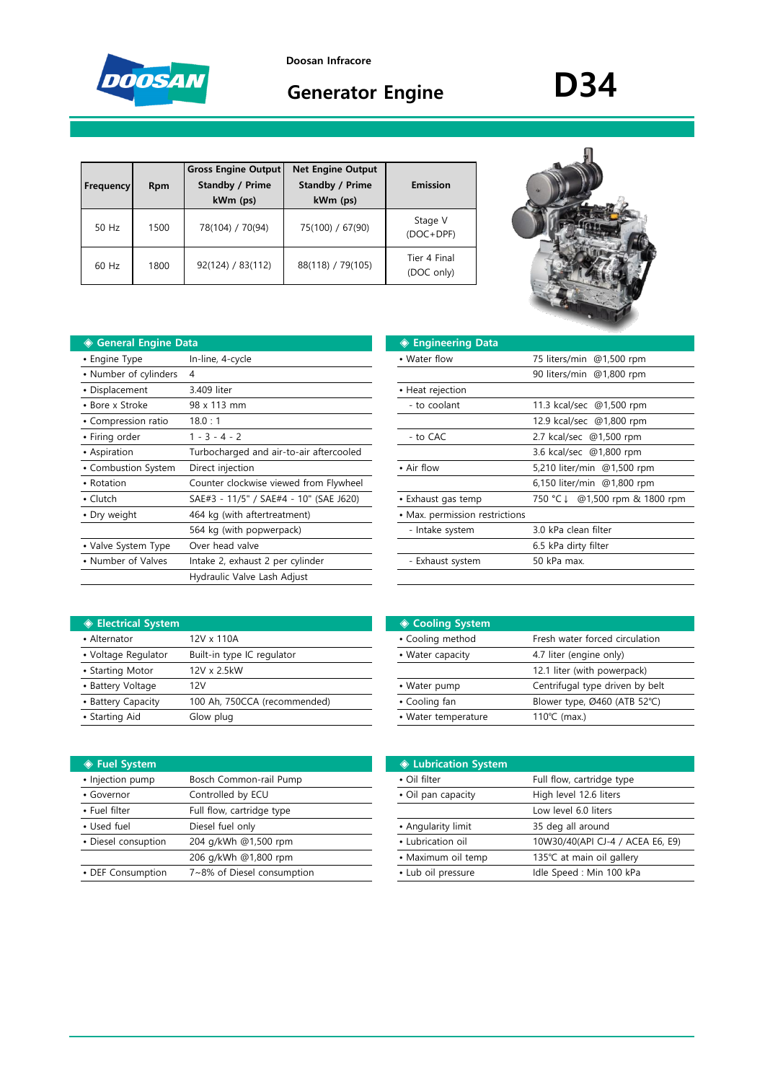

**Doosan Infracore**

# **Generator Engine D34**

| Frequency | <b>Rpm</b> | <b>Gross Engine Output</b><br><b>Standby / Prime</b><br>kWm (ps) | <b>Net Engine Output</b><br><b>Standby / Prime</b><br>kWm (ps) | Emission                   |
|-----------|------------|------------------------------------------------------------------|----------------------------------------------------------------|----------------------------|
| 50 Hz     | 1500       | 78(104) / 70(94)                                                 | 75(100) / 67(90)                                               | Stage V<br>(DOC+DPF)       |
| 60 Hz     | 1800       | 92(124) / 83(112)                                                | 88(118) / 79(105)                                              | Tier 4 Final<br>(DOC only) |



| <b>Seneral Engine Data</b> |                                         | ◈ Engineering Data             |                                   |
|----------------------------|-----------------------------------------|--------------------------------|-----------------------------------|
| • Engine Type              | In-line, 4-cycle                        | • Water flow                   | 75 liters/min @1,500 rpm          |
| • Number of cylinders      | 4                                       |                                | 90 liters/min @1,800 rpm          |
| • Displacement             | 3.409 liter                             | • Heat rejection               |                                   |
| • Bore x Stroke            | 98 x 113 mm                             | - to coolant                   | 11.3 kcal/sec @1,500 rpm          |
| • Compression ratio        | 18.0:1                                  |                                | 12.9 kcal/sec @1,800 rpm          |
| • Firing order             | $1 - 3 - 4 - 2$                         | - to CAC                       | 2.7 kcal/sec @1,500 rpm           |
| • Aspiration               | Turbocharged and air-to-air aftercooled |                                | 3.6 kcal/sec @1,800 rpm           |
| • Combustion System        | Direct injection                        | • Air flow                     | 5,210 liter/min @1,500 rpm        |
| • Rotation                 | Counter clockwise viewed from Flywheel  |                                | 6,150 liter/min @1,800 rpm        |
| $\cdot$ Clutch             | SAE#3 - 11/5" / SAE#4 - 10" (SAE J620)  | • Exhaust gas temp             | @1,500 rpm & 1800 rpm<br>750 °C ↓ |
| • Dry weight               | 464 kg (with aftertreatment)            | • Max. permission restrictions |                                   |
|                            | 564 kg (with popwerpack)                | - Intake system                | 3.0 kPa clean filter              |
| • Valve System Type        | Over head valve                         |                                | 6.5 kPa dirty filter              |
| • Number of Valves         | Intake 2, exhaust 2 per cylinder        | - Exhaust system               | 50 kPa max.                       |
|                            | Hydraulic Valve Lash Adjust             |                                |                                   |

| ıta                                     | ◈ Engineering Data             |                               |
|-----------------------------------------|--------------------------------|-------------------------------|
| In-line, 4-cycle                        | • Water flow                   | 75 liters/min @1,500 rpm      |
| 4                                       |                                | 90 liters/min @1,800 rpm      |
| 3.409 liter                             | • Heat rejection               |                               |
| 98 x 113 mm                             | - to coolant                   | 11.3 kcal/sec @1,500 rpm      |
| 18.0:1                                  |                                | 12.9 kcal/sec @1,800 rpm      |
| $1 - 3 - 4 - 2$                         | - to CAC                       | 2.7 kcal/sec @1,500 rpm       |
| Turbocharged and air-to-air aftercooled |                                | 3.6 kcal/sec @1,800 rpm       |
| Direct injection                        | • Air flow                     | 5,210 liter/min @1,500 rpm    |
| Counter clockwise viewed from Flywheel  |                                | 6,150 liter/min @1,800 rpm    |
| SAE#3 - 11/5" / SAE#4 - 10" (SAE J620)  | • Exhaust gas temp             | 750 °C↓ @1,500 rpm & 1800 rpm |
| 464 kg (with aftertreatment)            | • Max. permission restrictions |                               |
| 564 kg (with popwerpack)                | - Intake system                | 3.0 kPa clean filter          |
| Over head valve                         |                                | 6.5 kPa dirty filter          |
| Intake 2, exhaust 2 per cylinder        | - Exhaust system               | 50 kPa max.                   |
| .                                       |                                |                               |

| <b>♦ Electrical System</b> |                              | ◈ Cooling System    |                                 |
|----------------------------|------------------------------|---------------------|---------------------------------|
| • Alternator               | 12V x 110A                   | • Cooling method    | Fresh water forced circulation  |
| • Voltage Regulator        | Built-in type IC regulator   | • Water capacity    | 4.7 liter (engine only)         |
| • Starting Motor           | 12V x 2.5kW                  |                     | 12.1 liter (with powerpack)     |
| • Battery Voltage          | 12V                          | • Water pump        | Centrifugal type driven by belt |
| • Battery Capacity         | 100 Ah, 750CCA (recommended) | • Cooling fan       | Blower type, Ø460 (ATB 52°C)    |
| • Starting Aid             | Glow plug                    | • Water temperature | $110^{\circ}$ C (max.)          |
|                            |                              |                     |                                 |

| <b>PETTELS</b> | vstem |
|----------------|-------|
|                |       |

| • Injection pump    | Bosch Common-rail Pump     | • Oil filter       | Full flow, cartridge type        |  |
|---------------------|----------------------------|--------------------|----------------------------------|--|
| • Governor          | Controlled by ECU          | • Oil pan capacity | High level 12.6 liters           |  |
| • Fuel filter       | Full flow, cartridge type  |                    | Low level 6.0 liters             |  |
| • Used fuel         | Diesel fuel only           | • Angularity limit | 35 deg all around                |  |
| • Diesel consuption | 204 g/kWh @1,500 rpm       | • Lubrication oil  | 10W30/40(API CJ-4 / ACEA E6, E9) |  |
|                     | 206 g/kWh @1,800 rpm       | • Maximum oil temp | 135℃ at main oil gallery         |  |
| • DEF Consumption   | 7~8% of Diesel consumption | • Lub oil pressure | Idle Speed: Min 100 kPa          |  |

| ◈ Cooling System    |                                         |
|---------------------|-----------------------------------------|
| • Cooling method    | Fresh water forced circulation          |
| • Water capacity    | 4.7 liter (engine only)                 |
|                     | 12.1 liter (with powerpack)             |
| • Water pump        | Centrifugal type driven by belt         |
| • Cooling fan       | Blower type, $\emptyset$ 460 (ATB 52°C) |
| • Water temperature | $110^{\circ}$ C (max.)                  |

| ◈ Fuel System       |                            | ♦ Lubrication System |                                  |
|---------------------|----------------------------|----------------------|----------------------------------|
| · Injection pump    | Bosch Common-rail Pump     | • Oil filter         | Full flow, cartridge type        |
| • Governor          | Controlled by ECU          | • Oil pan capacity   | High level 12.6 liters           |
| • Fuel filter       | Full flow, cartridge type  |                      | Low level 6.0 liters             |
| • Used fuel         | Diesel fuel only           | • Angularity limit   | 35 deg all around                |
| • Diesel consuption | 204 g/kWh @1,500 rpm       | • Lubrication oil    | 10W30/40(API CJ-4 / ACEA E6, E9) |
|                     | 206 g/kWh @1,800 rpm       | • Maximum oil temp   | 135℃ at main oil gallery         |
| • DEF Consumption   | 7~8% of Diesel consumption | • Lub oil pressure   | Idle Speed: Min 100 kPa          |